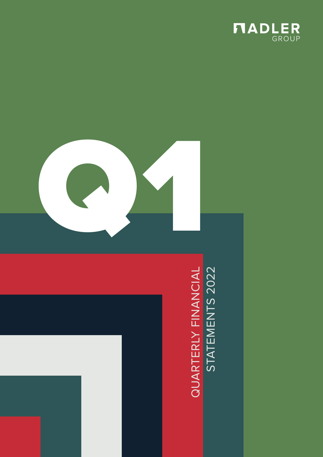



# QUARTERLY FINANCIAL STATEMENTS 2022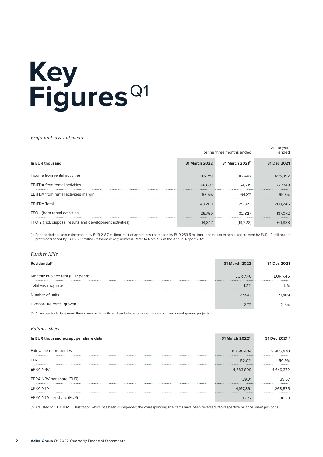# **Key** Figures<sup>Q1</sup>

#### *Profit and loss statement*

|                                                           | For the three months ended |                              | For the year<br>ended |
|-----------------------------------------------------------|----------------------------|------------------------------|-----------------------|
| In EUR thousand                                           | 31 March 2022              | 31 March 2021 <sup>(*)</sup> | 31 Dec 2021           |
| Income from rental activities                             | 107,751                    | 112.407                      | 495,092               |
| <b>EBITDA</b> from rental activities                      | 48,637                     | 54,215                       | 227.748               |
| EBITDA from rental activities margin                      | 68.5%                      | 64.3%                        | 65.8%                 |
| <b>EBITDA Total</b>                                       | 43.209                     | 25.323                       | 208,246               |
| FFO 1 (from rental activities)                            | 29,750                     | 32,327                       | 137,072               |
| FFO 2 (incl. disposal results and development activities) | 14,847                     | 13.222                       | 60.883                |

(\*) Prior period's revenue (increased by EUR 218.7 million), cost of operations (increased by EUR 253.5 million), income tax expense (decreased by EUR 1.9 million) and profit (decreased by EUR 32.9 million) retrospectively restated. Refer to Note 4.O of the Annual Report 2021.

#### *Further KPIs*

| <b>Residential</b> (*)                          | 31 March 2022   | 31 Dec 2021     |
|-------------------------------------------------|-----------------|-----------------|
| Monthly in-place rent (EUR per m <sup>2</sup> ) | <b>EUR 7.46</b> | <b>EUR 7.45</b> |
| Total vacancy rate                              | 1.2%            | ۔ 1%،           |
| Number of units                                 | 27,443          | 27.469          |
| Like-for-like rental growth                     | 2.1%            | 2.5%            |

(\*) All values include ground floor commercial units and exclude units under renovation and development projects.

#### *Balance sheet*

| In EUR thousand except per share data | 31 March 2022(1) | 31 Dec 2021 <sup>(*)</sup> |
|---------------------------------------|------------------|----------------------------|
| Fair value of properties              | 10,080,404       | 9.965.420                  |
| <b>LTV</b>                            | 52.0%            | 50.9%                      |
| <b>EPRA NRV</b>                       | 4.583.899        | 4.649.372                  |
| EPRA NRV per share (EUR)              | 39.01            | 39.57                      |
| <b>EPRA NTA</b>                       | 4.197.861        | 4.268.575                  |
| EPRA NTA per share (EUR)              | 35 72            | 36.33                      |

(\*) Adjusted for BCP IFRS 5 illustration which has been disregarded; the corresponding line items have been reversed into respective balance sheet positions.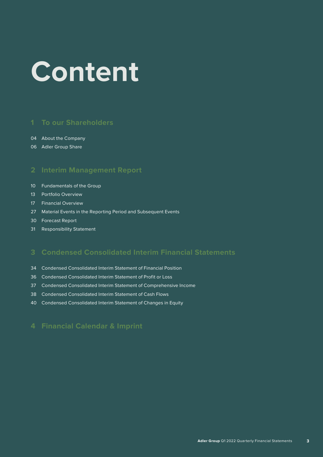# **Content**

#### **[To our Shareholders](#page-3-0)**

- [About the Company](#page-3-0)
- [Adler Group Share](#page-5-0)

#### **[Interim Management Report](#page-7-0)**

- [Fundamentals of the Group](#page-9-0)
- [Portfolio Overview](#page-12-0)
- [Financial Overview](#page-16-0)
- [Material Events in the Reporting Period and Subsequent Events](#page-26-0)
- [Forecast Report](#page-29-0)
- [Responsibility Statement](#page-30-0)

#### **[Condensed Consolidated Interim Financial Statements](#page-31-0)**

- [Condensed Consolidated Interim Statement of Financial Position](#page-33-0)
- [Condensed Consolidated Interim Statement of Profit or Loss](#page-35-0)
- [Condensed Consolidated Interim Statement of Comprehensive Income](#page-36-0)
- [Condensed Consolidated Interim Statement of Cash Flows](#page-37-0)
- [Condensed Consolidated Interim Statement of Changes in Equity](#page-39-0)

#### **[Financial Calendar & Imprint](#page-42-0)**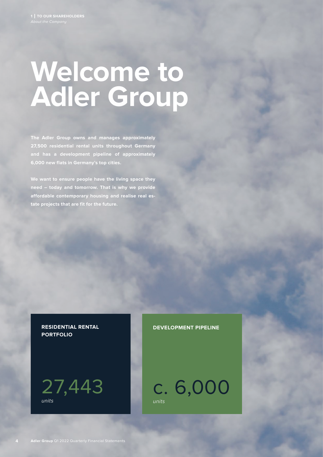### <span id="page-3-0"></span>**Welcome to Adler Group**

**The Adler Group owns and manages approximately 27,500 residential rental units throughout Germany and has a development pipeline of approximately 6,000 new flats in Germany's top cities.** 

**We want to ensure people have the living space they need – today and tomorrow. That is why we provide affordable contemporary housing and realise real estate projects that are fit for the future.** 

**RESIDENTIAL RENTAL PORTFOLIO**

**DEVELOPMENT PIPELINE**



27,443

*units*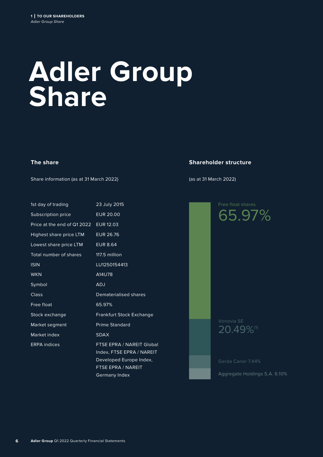# <span id="page-5-0"></span>**Adler Group Share**

#### **The share**

Share information (as at 31 March 2022)

| 1st day of trading          | 23 July 2015                    |
|-----------------------------|---------------------------------|
| Subscription price          | <b>EUR 20.00</b>                |
| Price at the end of Q1 2022 | <b>EUR 12.03</b>                |
| Highest share price LTM     | <b>EUR 26.76</b>                |
| Lowest share price LTM      | <b>EUR 8.64</b>                 |
| Total number of shares      | 117.5 million                   |
| <b>ISIN</b>                 | LU1250154413                    |
| <b>WKN</b>                  | A14U78                          |
| Symbol                      | <b>ADJ</b>                      |
| Class                       | Dematerialised shares           |
| <b>Free float</b>           | 65.97%                          |
| Stock exchange              | <b>Frankfurt Stock Exchange</b> |
| Market segment              | <b>Prime Standard</b>           |
| Market index                | <b>SDAX</b>                     |
| <b>ERPA indices</b>         | FTSE EPRA / NAREIT Global       |
|                             | Index, FTSE EPRA / NAREIT       |
|                             | Developed Europe Index,         |
|                             | <b>FTSE EPRA / NAREIT</b>       |
|                             | Germany Index                   |

#### **Shareholder structure**

(as at 31 March 2022)





Gerda Caner 7.44%

Aggregate Holdings S.A. 6.10%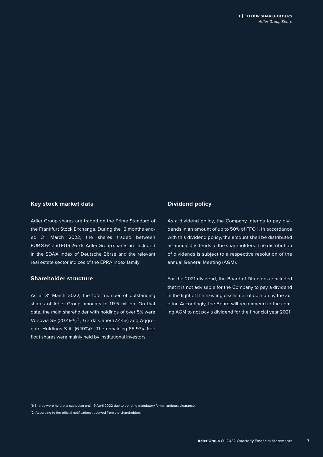#### **Key stock market data**

Adler Group shares are traded on the Prime Standard of the Frankfurt Stock Exchange. During the 12 months ended 31 March 2022, the shares traded between EUR 8.64 and EUR 26.76. Adler Group shares are included in the SDAX index of Deutsche Börse and the relevant real estate sector indices of the EPRA index family.

#### **Shareholder structure**

As at 31 March 2022, the total number of outstanding shares of Adler Group amounts to 117.5 million. On that date, the main shareholder with holdings of over 5% were Vonovia SE (20.49%)<sup>(1)</sup>, Gerda Caner (7.44%) and Aggregate Holdings S.A. (6.10%)<sup>(2)</sup>. The remaining 65.97% free float shares were mainly held by institutional investors.

#### **Dividend policy**

As a dividend policy, the Company intends to pay dividends in an amount of up to 50% of FFO 1. In accordance with this dividend policy, the amount shall be distributed as annual dividends to the shareholders. The distribution of dividends is subject to a respective resolution of the annual General Meeting (AGM).

For the 2021 dividend, the Board of Directors concluded that it is not advisable for the Company to pay a dividend in the light of the existing disclaimer of opinion by the auditor. Accordingly, the Board will recommend to the coming AGM to not pay a dividend for the financial year 2021.

(1) Shares were held at a custodian until 19 April 2022 due to pending mandatory formal antitrust clearance.

(2) According to the official notifications received from the shareholders.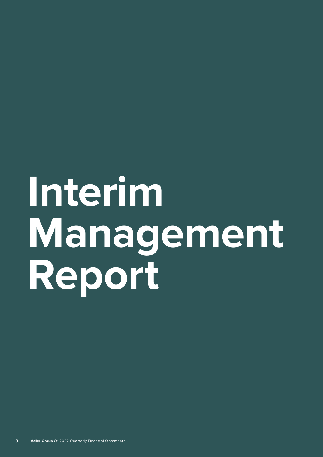# <span id="page-7-0"></span>**Interim Management Report**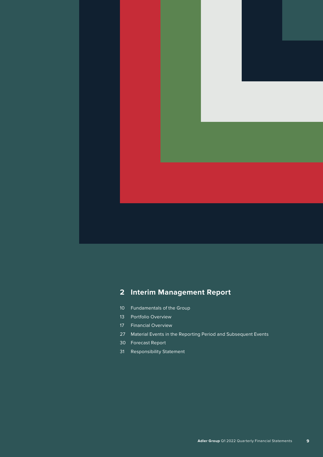

#### **2 Interim Management Report**

- 10 Fundamentals of the Group
- 32 Portfolio Overview
- 17 Financial Overview
- 10 Fundamentals of [the Group](#page-9-0)<br>1[3](#page-12-0) Portfolio Overview<br>17 Financial Overview<br>27 Material Events in the Reporting Period and Subsequent Events
- 30 Forecast Report
- 30 Forecast Report<br>31 Responsibility [Statement](#page-30-0)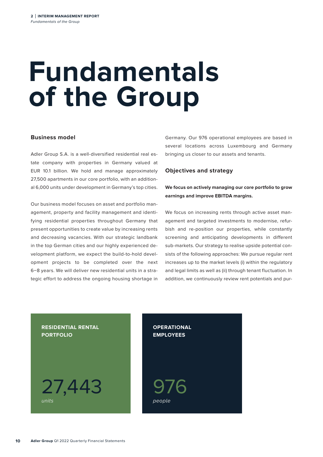### <span id="page-9-0"></span>**Fundamentals of the Group**

#### **Business model**

Adler Group S.A. is a well-diversified residential real estate company with properties in Germany valued at EUR 10.1 billion. We hold and manage approximately 27,500 apartments in our core portfolio, with an additional 6,000 units under development in Germany's top cities.

Our business model focuses on asset and portfolio management, property and facility management and identifying residential properties throughout Germany that present opportunities to create value by increasing rents and decreasing vacancies. With our strategic landbank in the top German cities and our highly experienced development platform, we expect the build-to-hold development projects to be completed over the next 6–8 years. We will deliver new residential units in a strategic effort to address the ongoing housing shortage in

Germany. Our 976 operational employees are based in several locations across Luxembourg and Germany bringing us closer to our assets and tenants.

#### **Objectives and strategy**

#### **We focus on actively managing our core portfolio to grow earnings and improve EBITDA margins.**

We focus on increasing rents through active asset management and targeted investments to modernise, refurbish and re-position our properties, while constantly screening and anticipating developments in different sub-markets. Our strategy to realise upside potential consists of the following approaches: We pursue regular rent increases up to the market levels (i) within the regulatory and legal limits as well as (ii) through tenant fluctuation. In addition, we continuously review rent potentials and pur-

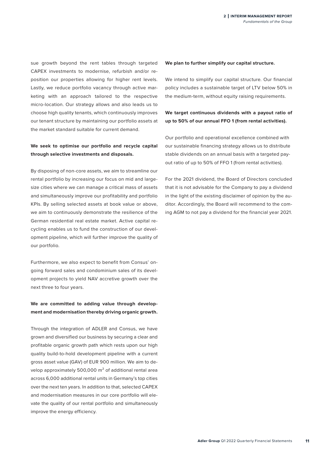sue growth beyond the rent tables through targeted CAPEX investments to modernise, refurbish and/or reposition our properties allowing for higher rent levels. Lastly, we reduce portfolio vacancy through active marketing with an approach tailored to the respective micro-location. Our strategy allows and also leads us to choose high quality tenants, which continuously improves our tenant structure by maintaining our portfolio assets at the market standard suitable for current demand.

#### **We seek to optimise our portfolio and recycle capital through selective investments and disposals.**

By disposing of non-core assets, we aim to streamline our rental portfolio by increasing our focus on mid and largesize cities where we can manage a critical mass of assets and simultaneously improve our profitability and portfolio KPIs. By selling selected assets at book value or above, we aim to continuously demonstrate the resilience of the German residential real estate market. Active capital recycling enables us to fund the construction of our development pipeline, which will further improve the quality of our portfolio.

Furthermore, we also expect to benefit from Consus' ongoing forward sales and condominium sales of its development projects to yield NAV accretive growth over the next three to four years.

#### **We are committed to adding value through development and modernisation thereby driving organic growth.**

Through the integration of ADLER and Consus, we have grown and diversified our business by securing a clear and profitable organic growth path which rests upon our high quality build-to-hold development pipeline with a current gross asset value (GAV) of EUR 900 million. We aim to develop approximately 500,000 m² of additional rental area across 6,000 additional rental units in Germany's top cities over the next ten years. In addition to that, selected CAPEX and modernisation measures in our core portfolio will elevate the quality of our rental portfolio and simultaneously improve the energy efficiency.

#### **We plan to further simplify our capital structure.**

We intend to simplify our capital structure. Our financial policy includes a sustainable target of LTV below 50% in the medium-term, without equity raising requirements.

#### **We target continuous dividends with a payout ratio of up to 50% of our annual FFO 1 (from rental activities).**

Our portfolio and operational excellence combined with our sustainable financing strategy allows us to distribute stable dividends on an annual basis with a targeted payout ratio of up to 50% of FFO 1 (from rental activities).

For the 2021 dividend, the Board of Directors concluded that it is not advisable for the Company to pay a dividend in the light of the existing disclaimer of opinion by the auditor. Accordingly, the Board will recommend to the coming AGM to not pay a dividend for the financial year 2021.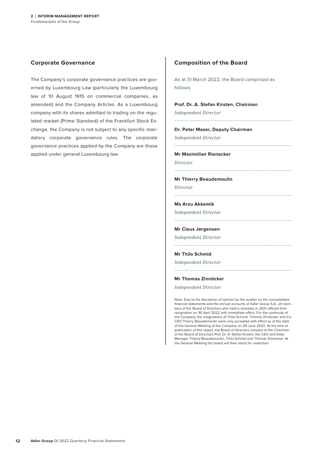#### **Corporate Governance**

The Company's corporate governance practices are governed by Luxembourg Law (particularly the Luxembourg law of 10 August 1915 on commercial companies, as amended) and the Company Articles. As a Luxembourg company with its shares admitted to trading on the regulated market (Prime Standard) of the Frankfurt Stock Exchange, the Company is not subject to any specific mandatory corporate governance rules. The corporate governance practices applied by the Company are those applied under general Luxembourg law.

#### **Composition of the Board**

As at 31 March 2022, the Board comprised as follows:

 $\begin{minipage}{0.5\textwidth} \begin{tabular}{|c|c|c|} \hline \textbf{1} & \textbf{1} & \textbf{1} & \textbf{1} & \textbf{1} & \textbf{1} & \textbf{1} & \textbf{1} & \textbf{1} & \textbf{1} & \textbf{1} & \textbf{1} & \textbf{1} & \textbf{1} & \textbf{1} & \textbf{1} & \textbf{1} & \textbf{1} & \textbf{1} & \textbf{1} & \textbf{1} & \textbf{1} & \textbf{1} & \textbf{1} & \textbf{1} & \textbf{1} & \textbf{1} &$ 

**Prof. Dr. A. Stefan Kirsten, Chairman** *Independent Director*

**Dr. Peter Maser, Deputy Chairman** *Independent Director* 

**Mr Maximilian Rienecker**

*Director*

**Mr Thierry Beaudemoulin**

*Director*

#### **Ms Arzu Akkemik**

*Independent Director*

#### **Mr Claus Jørgensen**

*Independent Director*

#### **Mr Thilo Schmid**

*Independent Director*

#### **Mr Thomas Zinnöcker**

#### *Independent Director*

Note: Due to the disclaimer of opinion by the auditor on the consolidated financial statements and the annual accounts of Adler Group S.A., all members of the Board of Directors who held a mandate in 2021 offered their resignation on 30 April 2022 with immediate effect. For the continuity of the Company, the resignations of Thilo Schmid, Thomas Zinnöcker and Co-CEO Thierry Beaudemoulin were only accepted with effect as of the date of the General Meeting of the Company on 29 June 2022. At the time of publication of this report, the Board of Directors consists of the Chairman of the Board of Directors Prof. Dr. A. Stefan Kirsten, the CEO and Daily Manager Thierry Beaudemoulin, Thilo Schmid and Thomas Zinnöcker. At the General Meeting the board will then stand for reelection.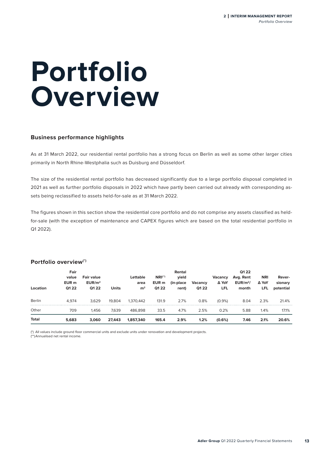### <span id="page-12-0"></span>**Portfolio Overview**

#### **Business performance highlights**

As at 31 March 2022, our residential rental portfolio has a strong focus on Berlin as well as some other larger cities primarily in North Rhine-Westphalia such as Duisburg and Düsseldorf.

The size of the residential rental portfolio has decreased significantly due to a large portfolio disposal completed in 2021 as well as further portfolio disposals in 2022 which have partly been carried out already with corresponding assets being reclassified to assets held-for-sale as at 31 March 2022.

The figures shown in this section show the residential core portfolio and do not comprise any assets classified as heldfor-sale (with the exception of maintenance and CAPEX figures which are based on the total residential portfolio in Q1 2022).

| Location     | Fair<br>value<br>EUR m<br>Q1 22 | <b>Fair value</b><br>EUR/m <sup>2</sup><br>Q1 22 | <b>Units</b> | Lettable<br>area<br>m <sup>2</sup> | $NRI^{(*)}$<br>EUR m<br>Q1 22 | Rental<br>yield<br>(in-place)<br>rent) | <b>Vacancy</b><br>Q1 22 | Vacancy<br>A YoY<br><b>LFL</b> | Q1 22<br>Avg. Rent<br>EUR/m <sup>2</sup> /<br>month | <b>NRI</b><br>A YoY<br>LFL | Rever-<br>sionary<br>potential |
|--------------|---------------------------------|--------------------------------------------------|--------------|------------------------------------|-------------------------------|----------------------------------------|-------------------------|--------------------------------|-----------------------------------------------------|----------------------------|--------------------------------|
| Berlin       | 4.974                           | 3.629                                            | 19.804       | 1.370.442                          | 131.9                         | 2.7%                                   | 0.8%                    | (0.9%                          | 8.04                                                | 2.3%                       | 21.4%                          |
| Other        | 709                             | 1.456                                            | 7.639        | 486.898                            | 33.5                          | 4.7%                                   | 2.5%                    | 0.2%                           | 5.88                                                | 1.4%                       | 17.1%                          |
| <b>Total</b> | 5,683                           | 3.060                                            | 27,443       | 1,857,340                          | 165.4                         | 2.9%                                   | 1.2%                    | (0.6%)                         | 7.46                                                | 2.1%                       | 20.6%                          |

#### **Portfolio overview(\*)**

(\*) All values include ground floor commercial units and exclude units under renovation and development projects.

(\*\*)Annualised net rental income.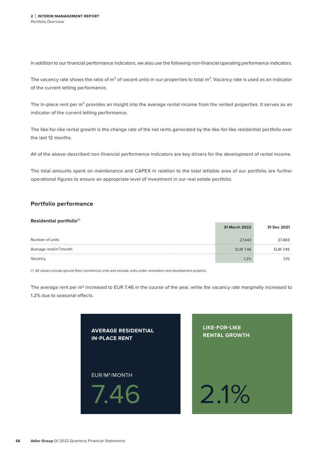In addition to our financial performance indicators, we also use the following non-financial operating performance indicators.

The vacancy rate shows the ratio of  $m^2$  of vacant units in our properties to total  $m^2$ . Vacancy rate is used as an indicator of the current letting performance.

The in-place rent per m<sup>2</sup> provides an insight into the average rental income from the rented properties. It serves as an indicator of the current letting performance.

The like-for-like rental growth is the change rate of the net rents generated by the like-for-like residential portfolio over the last 12 months.

All of the above-described non-financial performance indicators are key drivers for the development of rental income.

The total amounts spent on maintenance and CAPEX in relation to the total lettable area of our portfolio are further operational figures to ensure an appropriate level of investment in our real estate portfolio.

#### **Portfolio performance**

#### **Residential portfolio(\*)**

|                                    | 31 March 2022   | 31 Dec 2021     |
|------------------------------------|-----------------|-----------------|
| Number of units                    | 27.443          | 27.469          |
| Average rent/m <sup>2</sup> /month | <b>EUR 7.46</b> | <b>EUR 7.45</b> |
| Vacancy                            | 12%             | 1.1%            |

(\*) All values include ground floor commercial units and exclude units under renovation and development projects.

The average rent per m<sup>2</sup> increased to EUR 7.46 in the course of the year, while the vacancy rate marginally increased to 1.2% due to seasonal effects.

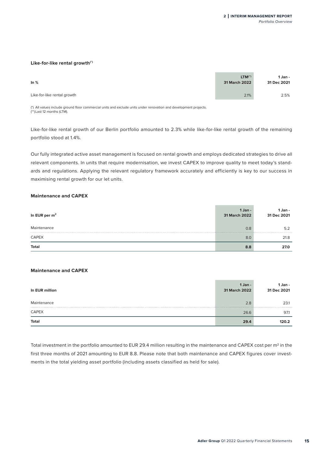#### **Like-for-like rental growth(\*)**

| In $%$                      | LTM(")<br>31 March 2022 | 1 Jan -<br>31 Dec 2021 |
|-----------------------------|-------------------------|------------------------|
| Like-for-like rental growth | 2.1%                    | 2.5%                   |

(\*) All values include ground floor commercial units and exclude units under renovation and development projects. (\*\*) Last 12 months (LTM).

Like-for-like rental growth of our Berlin portfolio amounted to 2.3% while like-for-like rental growth of the remaining portfolio stood at 1.4%.

Our fully integrated active asset management is focused on rental growth and employs dedicated strategies to drive all relevant components. In units that require modernisation, we invest CAPEX to improve quality to meet today's standards and regulations. Applying the relevant regulatory framework accurately and efficiently is key to our success in maximising rental growth for our let units.

#### **Maintenance and CAPEX**

| In EUR per $m2$ | 1 Jan -<br>31 March 2022 | 1 Jan -<br>31 Dec 2021 |
|-----------------|--------------------------|------------------------|
| Maintenance     | 0.8                      | 5.2                    |
| <b>CAPEX</b>    | 8.0                      | 21.8                   |
| Total           | 8.8                      | 27.0                   |

#### **Maintenance and CAPEX**

| In EUR million | $1$ Jan -<br>31 March 2022 | 1 Jan -<br>31 Dec 2021 |
|----------------|----------------------------|------------------------|
| Maintenance    | 2.8                        | 23.1                   |
| <b>CAPEX</b>   | 26.6                       | 97.1                   |
| <b>Total</b>   | 29.4                       | 120.2                  |

Total investment in the portfolio amounted to EUR 29.4 million resulting in the maintenance and CAPEX cost per m<sup>2</sup> in the first three months of 2021 amounting to EUR 8.8. Please note that both maintenance and CAPEX figures cover investments in the total yielding asset portfolio (including assets classified as held for sale).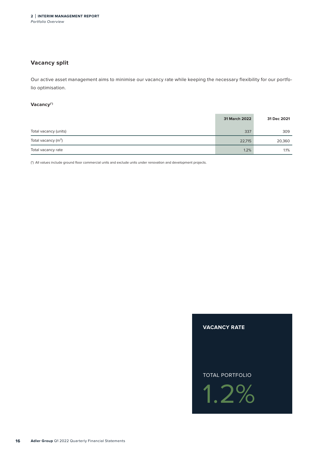#### **Vacancy split**

Our active asset management aims to minimise our vacancy rate while keeping the necessary flexibility for our portfolio optimisation.

#### **Vacancy(\*)**

|                       | 31 March 2022 | 31 Dec 2021 |
|-----------------------|---------------|-------------|
| Total vacancy (units) | 337           | 309         |
| Total vacancy $(m^2)$ | 22,715        | 20,360      |
| Total vacancy rate    | 1.2%          | 1.1%        |

(\*) All values include ground floor commercial units and exclude units under renovation and development projects.

**VACANCY RATE**

TOTAL PORTFOLIO

1.2%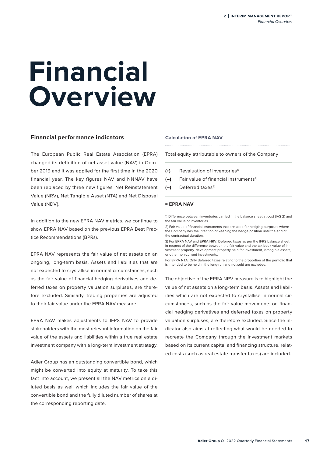### <span id="page-16-0"></span>**Financial Overview**

#### **Financial performance indicators**

The European Public Real Estate Association (EPRA) changed its definition of net asset value (NAV) in October 2019 and it was applied for the first time in the 2020 financial year. The key figures NAV and NNNAV have been replaced by three new figures: Net Reinstatement Value (NRV), Net Tangible Asset (NTA) and Net Disposal Value (NDV).

In addition to the new EPRA NAV metrics, we continue to show EPRA NAV based on the previous EPRA Best Practice Recommendations (BPRs).

EPRA NAV represents the fair value of net assets on an ongoing, long-term basis. Assets and liabilities that are not expected to crystallise in normal circumstances, such as the fair value of financial hedging derivatives and deferred taxes on property valuation surpluses, are therefore excluded. Similarly, trading properties are adjusted to their fair value under the EPRA NAV measure.

EPRA NAV makes adjustments to IFRS NAV to provide stakeholders with the most relevant information on the fair value of the assets and liabilities within a true real estate investment company with a long-term investment strategy.

Adler Group has an outstanding convertible bond, which might be converted into equity at maturity. To take this fact into account, we present all the NAV metrics on a diluted basis as well which includes the fair value of the convertible bond and the fully diluted number of shares at the corresponding reporting date.

#### **Calculation of EPRA NAV**

Total equity attributable to owners of the Company

- **(+)** Revaluation of inventories<sup>1)</sup>
- **(–)** Fair value of financial instruments2)

**(–)** Deferred taxes3)

#### **= EPRA NAV**

1) Difference between inventories carried in the balance sheet at cost (IAS 2) and the fair value of inventories.

2) Fair value of financial instruments that are used for hedging purposes where the Company has the intention of keeping the hedge position until the end of the contractual duration.

3) For EPRA NAV and EPRA NRV: Deferred taxes as per the IFRS balance sheet in respect of the difference between the fair value and the tax book value of investment property, development property held for investment, intangible assets, or other non-current investments.

For EPRA NTA: Only deferred taxes relating to the proportion of the portfolio that is intended to be held in the long-run and not sold are excluded.

The objective of the EPRA NRV measure is to highlight the value of net assets on a long-term basis. Assets and liabilities which are not expected to crystallise in normal circumstances, such as the fair value movements on financial hedging derivatives and deferred taxes on property valuation surpluses, are therefore excluded. Since the indicator also aims at reflecting what would be needed to recreate the Company through the investment markets based on its current capital and financing structure, related costs (such as real estate transfer taxes) are included.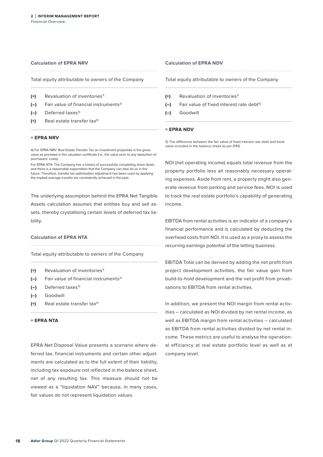#### **Calculation of EPRA NRV**

Total equity attributable to owners of the Company

- **(+)** Revaluation of inventories<sup>1)</sup>
- **(–)** Fair value of financial instruments2)
- **(–)** Deferred taxes3)
- **(+)** Real estate transfer tax4)

#### **= EPRA NRV**

4) For EPRA NRV: Real Estate Transfer Tax on investment properties is the gross value as provided in the valuation certificate (i.e., the value prior to any deduction of purchasers' costs).

For EPRA NTA: The Company has a history of successfully completing share deals; and there is a reasonable expectation that the Company can also do so in the future. Therefore, transfer tax optimisation adjustment has been used by applying the implied average transfer tax consistently achieved in the past.

The underlying assumption behind the EPRA Net Tangible Assets calculation assumes that entities buy and sell assets, thereby crystallising certain levels of deferred tax liability.

#### **Calculation of EPRA NTA**

Total equity attributable to owners of the Company

**(+)** Revaluation of inventories<sup>1)</sup>

- **(–)** Fair value of financial instruments2)
- **(–)** Deferred taxes3)
- **(–)** Goodwill
- **(+)** Real estate transfer tax<sup>4)</sup>

#### **= EPRA NTA**

EPRA Net Disposal Value presents a scenario where deferred tax, financial instruments and certain other adjustments are calculated as to the full extent of their liability, including tax exposure not reflected in the balance sheet, net of any resulting tax. This measure should not be viewed as a "liquidation NAV" because, in many cases, fair values do not represent liquidation values.

#### **Calculation of EPRA NDV**

Total equity attributable to owners of the Company

- **(+)** Revaluation of inventories<sup>1)</sup>
- (-) Fair value of fixed interest rate debt<sup>5)</sup>
- **(–)** Goodwill

#### **= EPRA NDV**

5) The difference between the fair value of fixed interest rate debt and book value included in the balance sheet as per IFRS.

NOI (net operating income) equals total revenue from the property portfolio less all reasonably necessary operating expenses. Aside from rent, a property might also generate revenue from parking and service fees. NOI is used to track the real estate portfolio's capability of generating income.

EBITDA from rental activities is an indicator of a company's financial performance and is calculated by deducting the overhead costs from NOI. It is used as a proxy to assess the recurring earnings potential of the letting business.

EBITDA Total can be derived by adding the net profit from project development activities, the fair value gain from build-to-hold development and the net profit from privatisations to EBITDA from rental activities.

In addition, we present the NOI margin from rental activities – calculated as NOI divided by net rental income, as well as EBITDA margin from rental activities – calculated as EBITDA from rental activities divided by net rental income. These metrics are useful to analyse the operational efficiency at real estate portfolio level as well as at company level.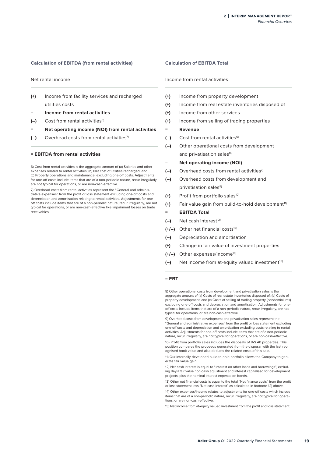#### **Calculation of EBITDA (from rental activities)**

#### Net rental income

- **(+)** Income from facility services and recharged utilities costs
- **= Income from rental activities**
- (-) Cost from rental activities<sup>6)</sup>
- **= Net operating income (NOI) from rental activities**
- **(-)** Overhead costs from rental activities<sup>7)</sup>

#### **= EBITDA from rental activities**

6) Cost from rental activities is the aggregate amount of (a) Salaries and other expenses related to rental activities; (b) Net cost of utilities recharged; and (c) Property operations and maintenance, excluding one-off costs. Adjustments for one-off costs include items that are of a non-periodic nature, recur irregularly, are not typical for operations, or are non-cash-effective.

7) Overhead costs from rental activities represent the "General and administrative expenses" from the profit or loss statement excluding one-off costs and depreciation and amortisation relating to rental activities. Adjustments for oneoff costs include items that are of a non-periodic nature, recur irregularly, are not typical for operations, or are non-cash-effective like impairment losses on trade receivables.

#### **Calculation of EBITDA Total**

Income from rental activities

- **(+)** Income from property development
- **(+)** Income from real estate inventories disposed of
- **(+)** Income from other services
- **(+)** Income from selling of trading properties
- **= Revenue**
- (-) Cost from rental activities<sup>6)</sup>
- **(–)** Other operational costs from development and privatisation sales<sup>8)</sup>

#### **= Net operating income (NOI)**

- (-) Overhead costs from rental activities<sup>7)</sup>
- **(–)** Overhead costs from development and privatisation sales<sup>9)</sup>
- (+) Profit from portfolio sales<sup>10)</sup>
- (+) Fair value gain from build-to-hold development<sup>11)</sup>

#### **= EBITDA Total**

- (-) Net cash interest<sup>12)</sup>
- (+/-) Other net financial costs<sup>13)</sup>
- **(–)** Depreciation and amortisation
- **(+)** Change in fair value of investment properties
- **(+/–)** Other expenses/income14)
- (-) Net income from at-equity valued investment<sup>15)</sup>

#### **= EBT**

8) Other operational costs from development and privatisation sales is the aggregate amount of (a) Costs of real estate inventories disposed of; (b) Costs of property development; and (c) Costs of selling of trading property (condominiums) excluding one-off costs and depreciation and amortisation. Adjustments for oneoff costs include items that are of a non-periodic nature, recur irregularly, are not typical for operations, or are non-cash-effective.

9) Overhead costs from development and privatisation sales represent the "General and administrative expenses" from the profit or loss statement excluding one-off costs and depreciation and amortisation excluding costs relating to rental activities. Adjustments for one-off costs include items that are of a non-periodic nature, recur irregularly, are not typical for operations, or are non-cash-effective.

10) Profit from portfolio sales includes the disposals of IAS 40 properties. This position compares the proceeds generated from the disposal with the last recognised book value and also deducts the related costs of this sale.

11) Our internally developed build-to-hold portfolio allows the Company to generate fair value gain.

12) Net cash interest is equal to "Interest on other loans and borrowings", excluding day-1 fair value non-cash adjustment and interest capitalised for development projects, plus the nominal interest expense on bonds.

13) Other net financial costs is equal to the total "Net finance costs" from the profit or loss statement less "Net cash interest" as calculated in footnote 12) above.

14) Other expenses/income relates to adjustments for one-off costs which include items that are of a non-periodic nature, recur irregularly, are not typical for operations, or are non-cash-effective.

15) Net income from at-equity valued investment from the profit and loss statement.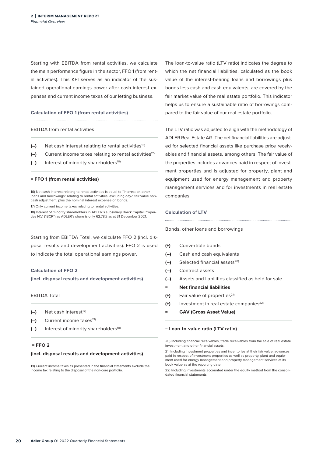Starting with EBITDA from rental activities, we calculate the main performance figure in the sector, FFO 1 (from rental activities). This KPI serves as an indicator of the sustained operational earnings power after cash interest expenses and current income taxes of our letting business.

#### **Calculation of FFO 1 (from rental activities)**

#### EBITDA from rental activities

- **(–)** Net cash interest relating to rental activities16)
- **(–)** Current income taxes relating to rental activities17)
- (-) Interest of minority shareholders<sup>18)</sup>

#### **= FFO 1 (from rental activities)**

16) Net cash interest relating to rental activities is equal to "Interest on other loans and borrowings" relating to rental activities, excluding day-1 fair value noncash adjustment, plus the nominal interest expense on bonds.

17) Only current income taxes relating to rental activities.

18) Interest of minority shareholders in ADLER's subsidiary Brack Capital Properties N.V. ("BCP") as ADLER's share is only 62.78% as at 31 December 2021.

Starting from EBITDA Total, we calculate FFO 2 (incl. disposal results and development activities). FFO 2 is used to indicate the total operational earnings power.

#### **Calculation of FFO 2**

**(incl. disposal results and development activities)**

#### EBITDA Total

- (-) Net cash interest<sup>12)</sup>
- **(–)** Current income taxes19)
- (-) Interest of minority shareholders<sup>18)</sup>

#### **= FFO 2**

#### **(incl. disposal results and development activities)**

19) Current income taxes as presented in the financial statements exclude the income tax relating to the disposal of the non-core portfolio.

The loan-to-value ratio (LTV ratio) indicates the degree to which the net financial liabilities, calculated as the book value of the interest-bearing loans and borrowings plus bonds less cash and cash equivalents, are covered by the fair market value of the real estate portfolio. This indicator helps us to ensure a sustainable ratio of borrowings compared to the fair value of our real estate portfolio.

The LTV ratio was adjusted to align with the methodology of ADLER Real Estate AG. The net financial liabilities are adjusted for selected financial assets like purchase price receivables and financial assets, among others. The fair value of the properties includes advances paid in respect of investment properties and is adjusted for property, plant and equipment used for energy management and property management services and for investments in real estate companies.

#### **Calculation of LTV**

Bonds, other loans and borrowings

- **(+)** Convertible bonds **(–)** Cash and cash equivalents **(–)** Selected financial assets20) **(–)** Contract assets **(–)** Assets and liabilities classified as held for sale **= Net financial liabilities (+)** Fair value of properties21) (+) Investment in real estate companies<sup>22)</sup> **= GAV (Gross Asset Value) = Loan-to-value ratio (LTV ratio)**
- 20) Including financial receivables, trade receivables from the sale of real estate investment and other financial assets.

21) Including investment properties and inventories at their fair value, advances paid in respect of investment properties as well as property, plant and equipment used for energy management and property management services at its book value as at the reporting date.

22) Including investments accounted under the equity method from the consolidated financial statements.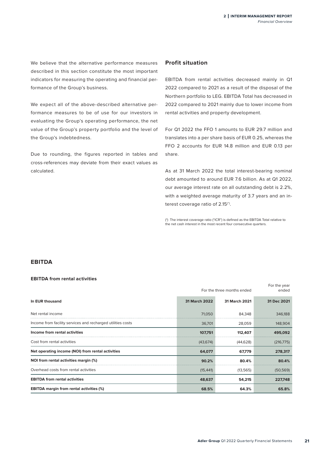We believe that the alternative performance measures described in this section constitute the most important indicators for measuring the operating and financial performance of the Group's business.

We expect all of the above-described alternative performance measures to be of use for our investors in evaluating the Group's operating performance, the net value of the Group's property portfolio and the level of the Group's indebtedness.

Due to rounding, the figures reported in tables and cross-references may deviate from their exact values as calculated.

#### **Profit situation**

EBITDA from rental activities decreased mainly in Q1 2022 compared to 2021 as a result of the disposal of the Northern portfolio to LEG. EBITDA Total has decreased in 2022 compared to 2021 mainly due to lower income from rental activities and property development.

For Q1 2022 the FFO 1 amounts to EUR 29.7 million and translates into a per share basis of EUR 0.25, whereas the FFO 2 accounts for EUR 14.8 million and EUR 0.13 per share.

As at 31 March 2022 the total interest-bearing nominal debt amounted to around EUR 7.6 billion. As at Q1 2022, our average interest rate on all outstanding debt is 2.2%, with a weighted average maturity of 3.7 years and an interest coverage ratio of 2.15<sup>(\*)</sup>.

(\*) The interest coverage ratio ("ICR") is defined as the EBITDA Total relative to the net cash interest in the most recent four consecutive quarters.

#### **EBITDA**

#### **EBITDA from rental activities**

|                                                             | For the three months ended | For the year<br>ended |             |
|-------------------------------------------------------------|----------------------------|-----------------------|-------------|
| In EUR thousand                                             | 31 March 2022              | 31 March 2021         | 31 Dec 2021 |
| Net rental income                                           | 71,050                     | 84.348                | 346,188     |
| Income from facility services and recharged utilities costs | 36,701                     | 28,059                | 148,904     |
| Income from rental activities                               | 107,751                    | 112,407               | 495,092     |
| Cost from rental activities                                 | (43,674)                   | (44, 628)             | (216,775)   |
| Net operating income (NOI) from rental activities           | 64,077                     | 67,779                | 278,317     |
| NOI from rental activities margin (%)                       | 90.2%                      | 80.4%                 | 80.4%       |
| Overhead costs from rental activities                       | (15, 441)                  | (13, 565)             | (50, 569)   |
| <b>EBITDA from rental activities</b>                        | 48,637                     | 54,215                | 227,748     |
| <b>EBITDA</b> margin from rental activities (%)             | 68.5%                      | 64.3%                 | 65.8%       |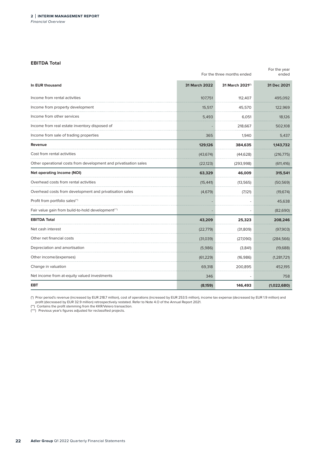*Financial Overview*

#### **EBITDA Total**

|                                                                  | For the three months ended | For the year<br>ended        |               |
|------------------------------------------------------------------|----------------------------|------------------------------|---------------|
| In EUR thousand                                                  | 31 March 2022              | 31 March 2021 <sup>(*)</sup> | 31 Dec 2021   |
| Income from rental activities                                    | 107,751                    | 112,407                      | 495,092       |
| Income from property development                                 | 15,517                     | 45,570                       | 122,969       |
| Income from other services                                       | 5,493                      | 6,051                        | 18,126        |
| Income from real estate inventory disposed of                    |                            | 218,667                      | 502,108       |
| Income from sale of trading properties                           | 365                        | 1,940                        | 5,437         |
| Revenue                                                          | 129,126                    | 384,635                      | 1,143,732     |
| Cost from rental activities                                      | (43, 674)                  | (44, 628)                    | (216, 775)    |
| Other operational costs from development and privatisation sales | (22, 123)                  | (293,998)                    | (611, 416)    |
| <b>Net operating income (NOI)</b>                                | 63,329                     | 46,009                       | 315,541       |
| Overhead costs from rental activities                            | (15, 441)                  | (13, 565)                    | (50, 569)     |
| Overhead costs from development and privatisation sales          | (4,679)                    | (7,121)                      | (19, 674)     |
| Profit from portfolio sales <sup>(**)</sup>                      |                            |                              | 45,638        |
| Fair value gain from build-to-hold development("")               |                            |                              | (82,690)      |
| <b>EBITDA Total</b><br>.                                         | 43,209                     | 25,323                       | 208,246       |
| Net cash interest                                                | (22, 779)                  | (31, 809)                    | (97, 903)     |
| Other net financial costs                                        | (31,039)                   | (27,090)                     | (284, 566)    |
| Depreciation and amortisation                                    | (5,986)                    | (3,841)                      | (19, 688)     |
| Other income/(expenses)                                          | (61, 229)                  | (16,986)                     | (1, 281, 721) |
| Change in valuation                                              | 69,318                     | 200,895                      | 452,195       |
| Net income from at-equity valued investments                     | 346                        |                              | 758           |
| <b>EBT</b>                                                       | (8,159)                    | 146,493                      | (1,022,680)   |

(\*) Prior period's revenue (increased by EUR 218.7 million), cost of operations (increased by EUR 253.5 million), income tax expense (decreased by EUR 1.9 million) and

profit (decreased by EUR 32.9 million) retrospectively restated. Refer to Note 4.O of the Annual Report 2021.

(\*\*) Contains the profit stemming from the KKR/Velero transaction. (\*\*\*) Previous year's figures adjusted for reclassified projects.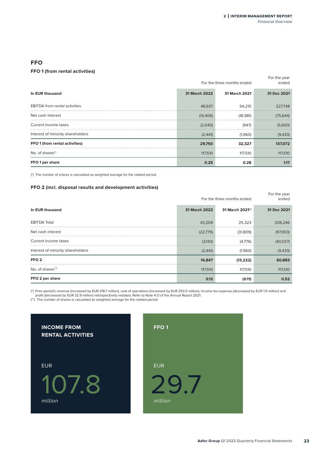#### **FFO**

#### **FFO 1 (from rental activities)**

|                                      | For the three months ended |               |             |
|--------------------------------------|----------------------------|---------------|-------------|
| In EUR thousand                      | 31 March 2022              | 31 March 2021 | 31 Dec 2021 |
| <b>EBITDA</b> from rental activities | 48,637                     | 54,215        | 227.748     |
| Net cash interest                    | (14, 406)                  | (18,981)      | (75, 644)   |
| Current income taxes                 | (2,040)                    | (947)         | (5,600)     |
| Interest of minority shareholders    | (2,441)                    | (1,960)       | (9, 433)    |
| FFO 1 (from rental activities)       | 29,750                     | 32,327        | 137,072     |
| No. of shares <sup>(*)</sup>         | 117,510                    | 117,510       | 117,510     |
| FFO 1 per share                      | 0.25                       | 0.28          | 1.17        |

(\*) The number of shares is calculated as weighted average for the related period.

#### **FFO 2 (incl. disposal results and development activities)**

| For the three months ended        |               |                              | For the year<br>ended |
|-----------------------------------|---------------|------------------------------|-----------------------|
| In EUR thousand                   | 31 March 2022 | 31 March 2021 <sup>(*)</sup> | 31 Dec 2021           |
| <b>EBITDA Total</b>               | 43,209        | 25,323                       | 208,246               |
| Net cash interest                 | (22,779)      | (31,809)                     | (97,903)              |
| Current income taxes              | (3,143)       | (4,776)                      | (40,027)              |
| Interest of minority shareholders | (2, 441)      | (1,960)                      | (9, 433)              |
| FFO <sub>2</sub>                  | 14,847        | (13, 222)                    | 60,883                |
| No. of shares <sup>(**)</sup>     | 117,510       | 117,510                      | 117,510               |
| FFO 2 per share                   | 0.13          | (0.11)                       | 0.52                  |

(\*) Prior period's revenue (increased by EUR 218.7 million), cost of operations (increased by EUR 253.5 million), income tax expense (decreased by EUR 1.9 million) and profit (decreased by EUR 32.9 million) retrospectively restated. Refer to Note 4.O of the Annual Report 2021.

(\*\*) The number of shares is calculated as weighted average for the related period.

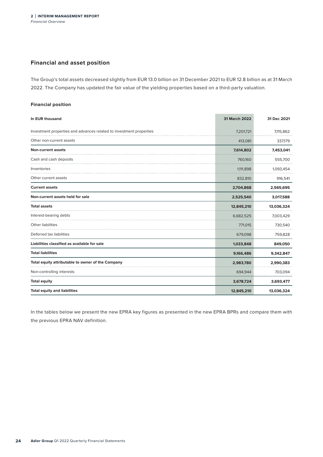#### **Financial and asset position**

The Group's total assets decreased slightly from EUR 13.0 billion on 31 December 2021 to EUR 12.8 billion as at 31 March 2022. The Company has updated the fair value of the yielding properties based on a third-party valuation.

#### **Financial position**

| In EUR thousand                                                     | 31 March 2022 | 31 Dec 2021 |
|---------------------------------------------------------------------|---------------|-------------|
| Investment properties and advances related to investment properties | 7,201,721     | 7,115,862   |
| Other non-current assets                                            | 413,081       | 337,179     |
| <b>Non-current assets</b>                                           | 7,614,802     | 7,453,041   |
| Cash and cash deposits                                              | 760,160       | 555,700     |
| Inventories                                                         | 1,111,898     | 1,093,454   |
| Other current assets                                                | 832,810       | 916,541     |
| <b>Current assets</b>                                               | 2,704,868     | 2,565,695   |
| Non-current assets held for sale                                    | 2,525,540     | 3,017,588   |
| <b>Total assets</b>                                                 | 12,845,210    | 13,036,324  |
| Interest-bearing debts                                              | 6,682,525     | 7,003,429   |
| Other liabilities                                                   | 771,015       | 730,540     |
| Deferred tax liabilities                                            | 679,098       | 759,828     |
| Liabilities classified as available for sale                        | 1,033,848     | 849,050     |
| <b>Total liabilities</b>                                            | 9,166,486     | 9,342,847   |
| Total equity attributable to owner of the Company                   | 2,983,780     | 2,990,383   |
| Non-controlling interests                                           | 694,944       | 703,094     |
| <b>Total equity</b>                                                 | 3,678,724     | 3,693,477   |
| <b>Total equity and liabilities</b>                                 | 12,845,210    | 13,036,324  |

In the tables below we present the new EPRA key figures as presented in the new EPRA BPRs and compare them with the previous EPRA NAV definition.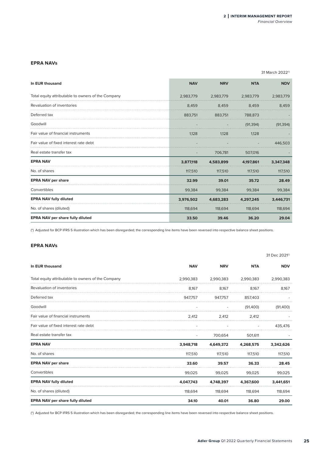#### **EPRA NAVs**

|                                                    |            |            |            | 31 March 2022(*) |
|----------------------------------------------------|------------|------------|------------|------------------|
| In EUR thousand                                    | <b>NAV</b> | <b>NRV</b> | <b>NTA</b> | <b>NDV</b>       |
| Total equity attributable to owners of the Company | 2,983,779  | 2,983,779  | 2,983,779  | 2,983,779        |
| Revaluation of inventories                         | 8,459      | 8,459      | 8,459      | 8,459            |
| Deferred tax                                       | 883,751    | 883,751    | 788,873    |                  |
| Goodwill                                           |            |            | (91, 394)  | (91, 394)        |
| Fair value of financial instruments                | 1.128      | 1.128      | 1,128      |                  |
| Fair value of fixed interest rate debt             |            |            |            | 446,503          |
| Real estate transfer tax                           |            | 706,781    | 507,016    |                  |
| <b>EPRA NAV</b>                                    | 3,877,118  | 4,583,899  | 4,197,861  | 3,347,348        |
| No. of shares                                      | 117,510    | 117,510    | 117,510    | 117,510          |
| <b>EPRA NAV per share</b>                          | 32.99      | 39.01      | 35.72      | 28.49            |
| Convertibles                                       | 99,384     | 99,384     | 99,384     | 99,384           |
| <b>EPRA NAV fully diluted</b>                      | 3,976,502  | 4,683,283  | 4,297,245  | 3,446,731        |
| No. of shares (diluted)                            | 118,694    | 118,694    | 118,694    | 118,694          |
| EPRA NAV per share fully diluted                   | 33.50      | 39.46      | 36.20      | 29.04            |

(\*) Adjusted for BCP IFRS 5 illustration which has been disregarded; the corresponding line items have been reversed into respective balance sheet positions.

#### **EPRA NAVs**

| In EUR thousand                                    | <b>NAV</b> | <b>NRV</b> | <b>NTA</b> | <b>NDV</b> |
|----------------------------------------------------|------------|------------|------------|------------|
| Total equity attributable to owners of the Company | 2,990,383  | 2,990,383  | 2,990,383  | 2,990,383  |
| Revaluation of inventories                         | 8,167      | 8,167      | 8,167      | 8.167      |
| Deferred tax                                       | 947,757    | 947,757    | 857,403    |            |
| Goodwill                                           |            |            | (91,400)   | (91,400)   |
| Fair value of financial instruments                | 2,412      | 2,412      | 2,412      |            |
| Fair value of fixed interest rate debt             |            |            |            | 435.476    |
| Real estate transfer tax                           |            | 700,654    | 501,611    |            |
| <b>EPRA NAV</b>                                    | 3.948.718  | 4,649,372  | 4.268.575  | 3,342,626  |
| No. of shares                                      | 117,510    | 117,510    | 117,510    | 117,510    |
| <b>EPRA NAV per share</b>                          | 33.60      | 39.57      | 36.33      | 28.45      |
| Convertibles                                       | 99,025     | 99,025     | 99,025     | 99,025     |
| <b>EPRA NAV fully diluted</b>                      | 4.047.743  | 4,748,397  | 4,367,600  | 3,441,651  |
| No. of shares (diluted)                            | 118.694    | 118.694    | 118,694    | 118,694    |
| <b>EPRA NAV per share fully diluted</b>            | 34.10      | 40.01      | 36.80      | 29.00      |

(\*) Adjusted for BCP IFRS 5 illustration which has been disregarded; the corresponding line items have been reversed into respective balance sheet positions.

31 Dec 2021<sup>(\*)</sup>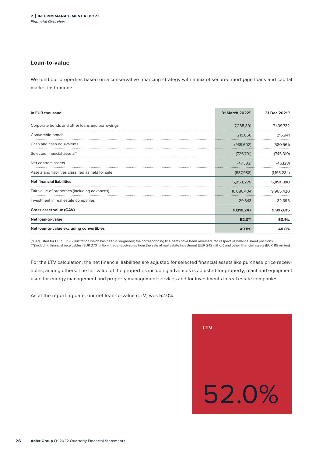#### **Loan-to-value**

We fund our properties based on a conservative financing strategy with a mix of secured mortgage loans and capital market instruments.

| In EUR thousand                                    | 31 March 2022(1) | 31 Dec 2021(1) |
|----------------------------------------------------|------------------|----------------|
| Corporate bonds and other loans and borrowings     | 7,285,891        | 7,439,732      |
| Convertible bonds                                  | 219,056          | 216,941        |
| Cash and cash equivalents                          | (939,602)        | (580, 561)     |
| Selected financial assets <sup>(**)</sup>          | (726, 701)       | (745, 310)     |
| Net contract assets                                | (47, 382)        | (46,128)       |
| Assets and liabilities classified as held for sale | (537,988)        | (1,193,284)    |
| <b>Net financial liabilities</b>                   | 5,253,275        | 5,091,390      |
| Fair value of properties (including advances)      | 10,080,404       | 9,965,420      |
| Investment in real estate companies                | 29,843           | 32,395         |
| Gross asset value (GAV)                            | 10,110,247       | 9,997,815      |
| <b>Net loan-to-value</b>                           | 52.0%            | 50.9%          |
| Net loan-to-value excluding convertibles           | 49.8%            | 48.8%          |

(\*) Adjusted for BCP IFRS 5 illustration which has been disregarded; the corresponding line items have been reversed into respective balance sheet positions. (\*\*) Including financial receivables (EUR 370 million), trade receivables from the sale of real estate investment (EUR 242 million) and other financial assets (EUR 115 million).

For the LTV calculation, the net financial liabilities are adjusted for selected financial assets like purchase price receivables, among others. The fair value of the properties including advances is adjusted for property, plant and equipment used for energy management and property management services and for investments in real estate companies.

As at the reporting date, our net loan-to-value (LTV) was 52.0%.

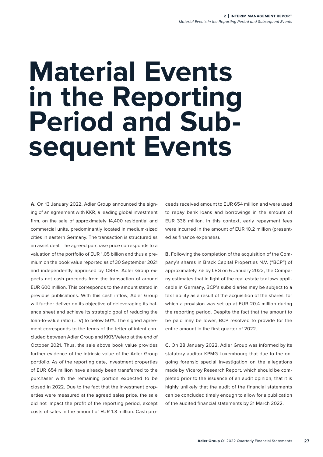### <span id="page-26-0"></span>**Material Events in the Reporting Period and Subsequent Events**

**A.** On 13 January 2022, Adler Group announced the signing of an agreement with KKR, a leading global investment firm, on the sale of approximately 14,400 residential and commercial units, predominantly located in medium-sized cities in eastern Germany. The transaction is structured as an asset deal. The agreed purchase price corresponds to a valuation of the portfolio of EUR 1.05 billion and thus a premium on the book value reported as of 30 September 2021 and independently appraised by CBRE. Adler Group expects net cash proceeds from the transaction of around EUR 600 million. This corresponds to the amount stated in previous publications. With this cash inflow, Adler Group will further deliver on its objective of deleveraging its balance sheet and achieve its strategic goal of reducing the loan-to-value ratio (LTV) to below 50%. The signed agreement corresponds to the terms of the letter of intent concluded between Adler Group and KKR/Velero at the end of October 2021. Thus, the sale above book value provides further evidence of the intrinsic value of the Adler Group portfolio. As of the reporting date, investment properties of EUR 654 million have already been transferred to the purchaser with the remaining portion expected to be closed in 2022. Due to the fact that the investment properties were measured at the agreed sales price, the sale did not impact the profit of the reporting period, except costs of sales in the amount of EUR 1.3 million. Cash proceeds received amount to EUR 654 million and were used to repay bank loans and borrowings in the amount of EUR 336 million. In this context, early repayment fees were incurred in the amount of EUR 10.2 million (presented as finance expenses).

**B.** Following the completion of the acquisition of the Company's shares in Brack Capital Properties N.V. ("BCP") of approximately 7% by LEG on 6 January 2022, the Company estimates that in light of the real estate tax laws applicable in Germany, BCP's subsidiaries may be subject to a tax liability as a result of the acquisition of the shares, for which a provision was set up at EUR 20.4 million during the reporting period. Despite the fact that the amount to be paid may be lower, BCP resolved to provide for the entire amount in the first quarter of 2022.

**C.** On 28 January 2022, Adler Group was informed by its statutory auditor KPMG Luxembourg that due to the ongoing forensic special investigation on the allegations made by Viceroy Research Report, which should be completed prior to the issuance of an audit opinion, that it is highly unlikely that the audit of the financial statements can be concluded timely enough to allow for a publication of the audited financial statements by 31 March 2022.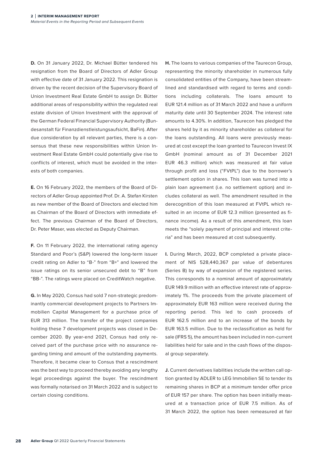**D.** On 31 January 2022, Dr. Michael Bütter tendered his resignation from the Board of Directors of Adler Group with effective date of 31 January 2022. This resignation is driven by the recent decision of the Supervisory Board of Union Investment Real Estate GmbH to assign Dr. Bütter additional areas of responsibility within the regulated real estate division of Union Investment with the approval of the German Federal Financial Supervisory Authority (Bundesanstalt für Finanzdienstleistungsaufsicht, BaFin). After due consideration by all relevant parties, there is a consensus that these new responsibilities within Union Investment Real Estate GmbH could potentially give rise to conflicts of interest, which must be avoided in the interests of both companies.

**E.** On 16 February 2022, the members of the Board of Directors of Adler Group appointed Prof. Dr. A. Stefan Kirsten as new member of the Board of Directors and elected him as Chairman of the Board of Directors with immediate effect. The previous Chairman of the Board of Directors, Dr. Peter Maser, was elected as Deputy Chairman.

**F.** On 11 February 2022, the international rating agency Standard and Poor's (S&P) lowered the long-term issuer credit rating on Adler to "B-" from "B+" and lowered the issue ratings on its senior unsecured debt to "B" from "BB-". The ratings were placed on CreditWatch negative.

**G.** In May 2020, Consus had sold 7 non-strategic predominantly commercial development projects to Partners Immobilien Capital Management for a purchase price of EUR 313 million. The transfer of the project companies holding these 7 development projects was closed in December 2020. By year-end 2021, Consus had only received part of the purchase price with no assurance regarding timing and amount of the outstanding payments. Therefore, it became clear to Consus that a rescindment was the best way to proceed thereby avoiding any lengthy legal proceedings against the buyer. The rescindment was formally notarised on 31 March 2022 and is subject to certain closing conditions.

**H.** The loans to various companies of the Taurecon Group, representing the minority shareholder in numerous fully consolidated entities of the Company, have been streamlined and standardised with regard to terms and conditions including collaterals. The loans amount to EUR 121.4 million as of 31 March 2022 and have a uniform maturity date until 30 September 2024. The interest rate amounts to 4.30%. In addition, Taurecon has pledged the shares held by it as minority shareholder as collateral for the loans outstanding. All loans were previously measured at cost except the loan granted to Taurecon Invest IX GmbH (nominal amount as of 31 December 2021 EUR 46.3 million) which was measured at fair value through profit and loss ("FVtPL") due to the borrower's settlement option in shares. This loan was turned into a plain loan agreement (i.e. no settlement option) and includes collateral as well. The amendment resulted in the derecognition of this loan measured at FVtPL which resulted in an income of EUR 12.3 million (presented as finance income). As a result of this amendment, this loan meets the "solely payment of principal and interest criteria" and has been measured at cost subsequently.

**I.** During March, 2022, BCP completed a private placement of NIS 528,440,367 par value of debentures (Series B) by way of expansion of the registered series. This corresponds to a nominal amount of approximately EUR 149.9 million with an effective interest rate of approximately 1%. The proceeds from the private placement of approximately EUR 163 million were received during the reporting period. This led to cash proceeds of EUR 162.5 million and to an increase of the bonds by EUR 163.5 million. Due to the reclassification as held for sale (IFRS 5), the amount has been included in non-current liabilities held for sale and in the cash flows of the disposal group separately.

**J.** Current derivatives liabilities include the written call option granted by ADLER to LEG Immobilien SE to tender its remaining shares in BCP at a minimum tender offer price of EUR 157 per share. The option has been initially measured at a transaction price of EUR 7.5 million. As of 31 March 2022, the option has been remeasured at fair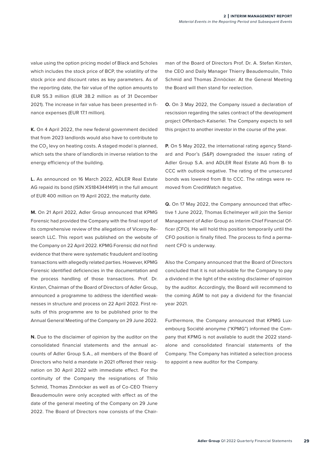value using the option pricing model of Black and Scholes which includes the stock price of BCP, the volatility of the stock price and discount rates as key parameters. As of the reporting date, the fair value of the option amounts to EUR 55.3 million (EUR 38.2 million as of 31 December 2021). The increase in fair value has been presented in finance expenses (EUR 17.1 million).

**K.** On 4 April 2022, the new federal government decided that from 2023 landlords would also have to contribute to the  $CO<sub>2</sub>$  levy on heating costs. A staged model is planned, which sets the share of landlords in inverse relation to the energy efficiency of the building.

**L.** As announced on 16 March 2022, ADLER Real Estate AG repaid its bond (ISIN XS1843441491) in the full amount of EUR 400 million on 19 April 2022, the maturity date.

**M.** On 21 April 2022, Adler Group announced that KPMG Forensic had provided the Company with the final report of its comprehensive review of the allegations of Viceroy Research LLC. This report was published on the website of the Company on 22 April 2022. KPMG Forensic did not find evidence that there were systematic fraudulent and looting transactions with allegedly related parties. However, KPMG Forensic identified deficiencies in the documentation and the process handling of those transactions. Prof. Dr. Kirsten, Chairman of the Board of Directors of Adler Group, announced a programme to address the identified weaknesses in structure and process on 22 April 2022. First results of this programme are to be published prior to the Annual General Meeting of the Company on 29 June 2022.

**N.** Due to the disclaimer of opinion by the auditor on the consolidated financial statements and the annual accounts of Adler Group S.A., all members of the Board of Directors who held a mandate in 2021 offered their resignation on 30 April 2022 with immediate effect. For the continuity of the Company the resignations of Thilo Schmid, Thomas Zinnöcker as well as of Co-CEO Thierry Beaudemoulin were only accepted with effect as of the date of the general meeting of the Company on 29 June 2022. The Board of Directors now consists of the Chair-

man of the Board of Directors Prof. Dr. A. Stefan Kirsten, the CEO and Daily Manager Thierry Beaudemoulin, Thilo Schmid and Thomas Zinnöcker. At the General Meeting the Board will then stand for reelection.

**O.** On 3 May 2022, the Company issued a declaration of rescission regarding the sales contract of the development project Offenbach-Kaiserlei. The Company expects to sell this project to another investor in the course of the year.

**P.** On 5 May 2022, the international rating agency Standard and Poor's (S&P) downgraded the issuer rating of Adler Group S.A. and ADLER Real Estate AG from B- to CCC with outlook negative. The rating of the unsecured bonds was lowered from B to CCC. The ratings were removed from CreditWatch negative.

**Q.** On 17 May 2022, the Company announced that effective 1 June 2022, Thomas Echelmeyer will join the Senior Management of Adler Group as interim Chief Financial Officer (CFO). He will hold this position temporarily until the CFO position is finally filled. The process to find a permanent CFO is underway.

Also the Company announced that the Board of Directors concluded that it is not advisable for the Company to pay a dividend in the light of the existing disclaimer of opinion by the auditor. Accordingly, the Board will recommend to the coming AGM to not pay a dividend for the financial year 2021.

Furthermore, the Company announced that KPMG Luxembourg Société anonyme ("KPMG") informed the Company that KPMG is not available to audit the 2022 standalone and consolidated financial statements of the Company. The Company has initiated a selection process to appoint a new auditor for the Company.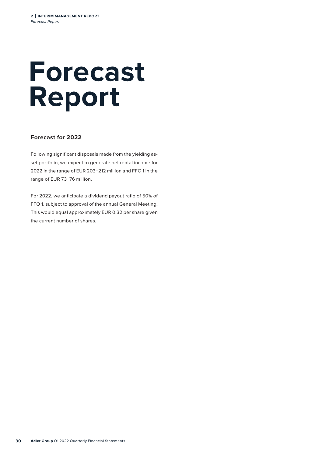# <span id="page-29-0"></span>**Forecast Report**

#### **Forecast for 2022**

Following significant disposals made from the yielding asset portfolio, we expect to generate net rental income for 2022 in the range of EUR 203–212 million and FFO 1 in the range of EUR 73–76 million.

For 2022, we anticipate a dividend payout ratio of 50% of FFO 1, subject to approval of the annual General Meeting. This would equal approximately EUR 0.32 per share given the current number of shares.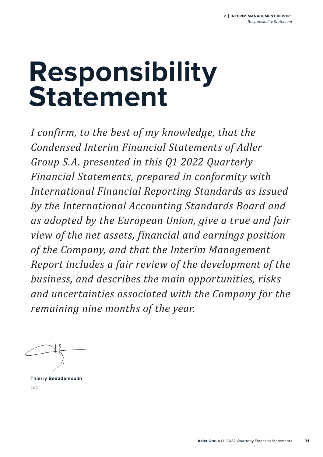### <span id="page-30-0"></span>**Responsibility Statement**

*I confirm, to the best of my knowledge, that the Condensed Interim Financial Statements of Adler Group S.A. presented in this Q1 2022 Quarterly Financial Statements, prepared in conformity with International Financial Reporting Standards as issued by the International Accounting Standards Board and as adopted by the European Union, give a true and fair view of the net assets, financial and earnings position of the Company, and that the Interim Management Report includes a fair review of the development of the business, and describes the main opportunities, risks and uncertainties associated with the Company for the remaining nine months of the year.*

**Thierry Beaudemoulin** *CEO*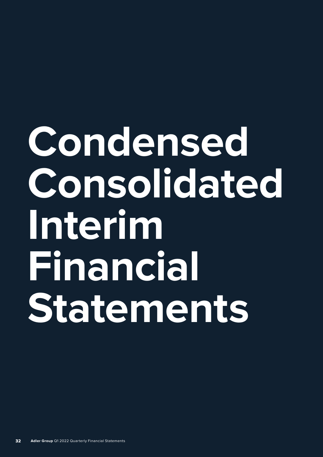# <span id="page-31-0"></span>**Condensed Consolidated Interim Financial Statements**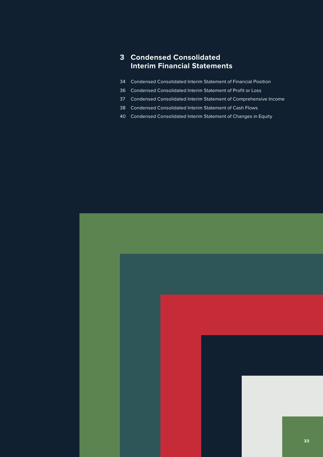#### **Condensed Consolidated Interim Financial Statements**

- [Condensed Consolidated Interim Statement of Financial Position](#page-33-0)
- [Condensed Consolidated Interim Statement of Profit or Loss](#page-35-0)
- [Condensed Consolidated Interim Statement of Comprehensive Income](#page-36-0)
- [Condensed Consolidated Interim Statement of Cash Flows](#page-37-0)
- [Condensed Consolidated Interim Statement of Changes in Equity](#page-39-0)

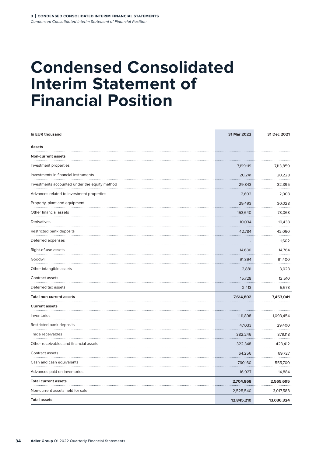### <span id="page-33-0"></span>**Condensed Consolidated Interim Statement of Financial Position**

| In EUR thousand                               | 31 Mar 2022 | 31 Dec 2021 |
|-----------------------------------------------|-------------|-------------|
| <b>Assets</b>                                 |             |             |
| <b>Non-current assets</b>                     |             |             |
| Investment properties                         | 7,199,119   | 7,113,859   |
| Investments in financial instruments          | 20,241      | 20,228      |
| Investments accounted under the equity method | 29,843      | 32,395      |
| Advances related to investment properties     | 2,602       | 2,003       |
| Property, plant and equipment                 | 29,493      | 30,028      |
| Other financial assets                        | 153,640     | 73,063      |
| Derivatives                                   | 10,034      | 10,433      |
| Restricted bank deposits                      | 42,784      | 42,060      |
| Deferred expenses                             |             | 1,602       |
| Right-of-use assets                           | 14,630      | 14,764      |
| Goodwill<br>.                                 | 91,394      | 91,400      |
| Other intangible assets                       | 2,881       | 3,023       |
| Contract assets                               | 15,728      | 12,510      |
| Deferred tax assets                           | 2,413       | 5,673       |
| <b>Total non-current assets</b>               | 7,614,802   | 7,453,041   |
| <b>Current assets</b><br>.                    |             |             |
| Inventories                                   | 1,111,898   | 1,093,454   |
| Restricted bank deposits                      | 47,033      | 29,400      |
| Trade receivables                             | 382,246     | 379,118     |
| Other receivables and financial assets        | 322,348     | 423,412     |
| Contract assets                               | 64,256      | 69,727      |
| Cash and cash equivalents                     | 760,160     | 555,700     |
| Advances paid on inventories                  | 16,927      | 14,884      |
| <b>Total current assets</b>                   | 2,704,868   | 2,565,695   |
| Non-current assets held for sale              | 2,525,540   | 3,017,588   |
| <b>Total assets</b>                           | 12,845,210  | 13,036,324  |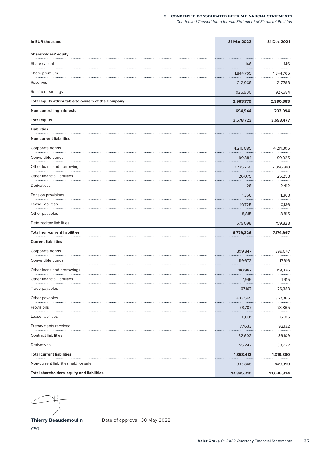#### **3 CONDENSED CONSOLIDATED INTERIM FINANCIAL STATEMENTS**

*Condensed Consolidated Interim Statement of Financial Position*

| In EUR thousand                                    | 31 Mar 2022 | 31 Dec 2021 |
|----------------------------------------------------|-------------|-------------|
| <b>Shareholders' equity</b>                        |             |             |
| Share capital<br>.                                 | 146         | 146         |
| Share premium                                      | 1,844,765   | 1,844,765   |
| Reserves                                           | 212,968     | 217,788     |
| Retained earnings                                  | 925,900     | 927,684     |
| Total equity attributable to owners of the Company | 2,983,779   | 2,990,383   |
| Non-controlling interests                          | 694,944     | 703,094     |
| <b>Total equity</b>                                | 3,678,723   | 3,693,477   |
| <b>Liabilities</b>                                 |             |             |
| <b>Non-current liabilities</b>                     |             |             |
| Corporate bonds                                    | 4,216,885   | 4,211,305   |
| Convertible bonds                                  | 99,384      | 99,025      |
| Other loans and borrowings                         | 1,735,750   | 2,056,810   |
| Other financial liabilities                        | 26,075      | 25,253      |
| Derivatives                                        | 1,128       | 2,412       |
| .<br>Pension provisions                            | 1,366       | 1,363       |
| Lease liabilities                                  | 10,725      | 10,186      |
| Other payables                                     | 8,815       | 8,815       |
| Deferred tax liabilities                           | 679,098     | 759,828     |
| <b>Total non-current liabilities</b>               | 6,779,226   | 7,174,997   |
| <b>Current liabilities</b>                         |             |             |
| Corporate bonds                                    | 399,847     | 399,047     |
| Convertible bonds                                  | 119,672     | 117,916     |
| Other loans and borrowings                         | 110,987     | 119,326     |
| Other financial liabilities                        | 1,915       | 1,915       |
| Trade payables                                     | 67,167      | 76,383      |
| Other payables                                     | 403,545     | 357,065     |
| Provisions                                         | 78,707      | 73,865      |
| Lease liabilities                                  | 6,091       | 6,815       |
| Prepayments received                               | 77,633      | 92,132      |
| <b>Contract liabilities</b>                        | 32,602      | 36,109      |
| Derivatives                                        | 55,247      | 38,227      |
| <b>Total current liabilities</b>                   | 1,353,413   | 1,318,800   |
| Non-current liabilities held for sale              | 1,033,848   | 849,050     |
| Total shareholders' equity and liabilities         | 12,845,210  | 13,036,324  |

**Thierry Beaudemoulin**

*CEO*

Date of approval: 30 May 2022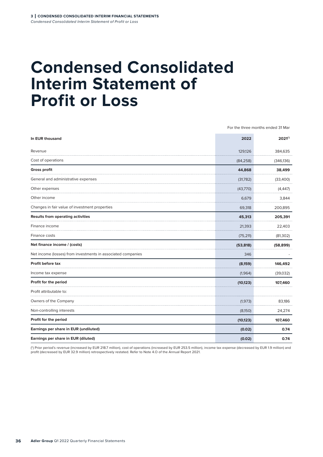### <span id="page-35-0"></span>**Condensed Consolidated Interim Statement of Profit or Loss**

|                                                              |           | For the three months ended 31 Mar |
|--------------------------------------------------------------|-----------|-----------------------------------|
| In EUR thousand                                              | 2022      | 2021(1)                           |
| Revenue                                                      | 129,126   | 384,635                           |
| Cost of operations                                           | (84, 258) | (346, 136)                        |
| <b>Gross profit</b>                                          | 44,868    | 38,499                            |
| General and administrative expenses                          | (31,782)  | (33,400)                          |
| Other expenses                                               | (43,770)  | (4, 447)                          |
| Other income                                                 | 6,679     | 3,844                             |
| Changes in fair value of investment properties               | 69,318    | 200,895                           |
| <b>Results from operating activities</b>                     | 45,313    | 205,391                           |
| Finance income                                               | 21,393    | 22,403                            |
| Finance costs                                                | (75, 211) | (81, 302)                         |
| Net finance income / (costs)                                 | (53, 818) | (58, 899)                         |
| Net income (losses) from investments in associated companies | 346       |                                   |
| <b>Profit before tax</b>                                     | (8,159)   | 146,492                           |
| Income tax expense                                           | (1, 964)  | (39,032)                          |
| Profit for the period                                        | (10, 123) | 107,460                           |
| Profit attributable to:                                      |           |                                   |
| Owners of the Company                                        | (1, 973)  | 83,186                            |
| Non-controlling interests                                    | (8,150)   | 24,274                            |
| Profit for the period                                        | (10, 123) | 107,460                           |
| Earnings per share in EUR (undiluted)                        | (0.02)    | 0.74                              |
| Earnings per share in EUR (diluted)                          | (0.02)    | 0.74                              |

(\*) Prior period's revenue (increased by EUR 218.7 million), cost of operations (increased by EUR 253.5 million), income tax expense (decreased by EUR 1.9 million) and profit (decreased by EUR 32.9 million) retrospectively restated. Refer to Note 4.O of the Annual Report 2021.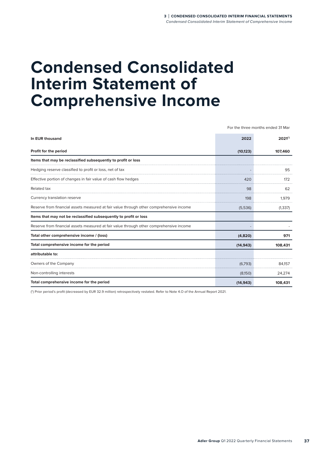For the three months ended 31 Mar

### <span id="page-36-0"></span>**Condensed Consolidated Interim Statement of Comprehensive Income**

| In EUR thousand                                                                         | 2022      | $2021^{(7)}$ |
|-----------------------------------------------------------------------------------------|-----------|--------------|
| Profit for the period                                                                   | (10, 123) | 107,460      |
| Items that may be reclassified subsequently to profit or loss                           |           |              |
| Hedging reserve classified to profit or loss, net of tax                                |           | 95           |
| Effective portion of changes in fair value of cash flow hedges                          | 420       | 172          |
| Related tax                                                                             | 98        | 62           |
| Currency translation reserve                                                            | 198       | 1.979        |
| Reserve from financial assets measured at fair value through other comprehensive income | (5,536)   | (1, 337)     |
| Items that may not be reclassified subsequently to profit or loss                       |           |              |
| Reserve from financial assets measured at fair value through other comprehensive income |           |              |
| Total other comprehensive income / (loss)                                               | (4,820)   | 971          |
| Total comprehensive income for the period                                               | (14, 943) | 108,431      |
| attributable to:                                                                        |           |              |
| Owners of the Company                                                                   | (6.793)   | 84.157       |
| Non-controlling interests                                                               | (8,150)   | 24,274       |
| Total comprehensive income for the period                                               | (14, 943) | 108,431      |

(\*) Prior period's profit (decreased by EUR 32.9 million) retrospectively restated. Refer to Note 4.O of the Annual Report 2021.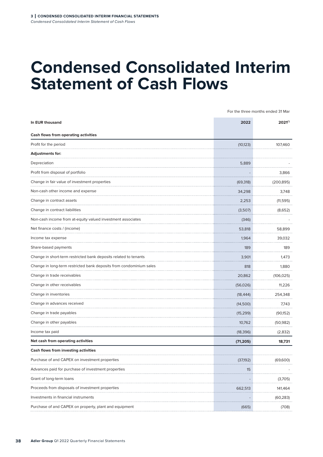### <span id="page-37-0"></span>**Condensed Consolidated Interim Statement of Cash Flows**

For the three months ended 31 Mar

| In EUR thousand                                                     | 2022      | $2021^{(7)}$ |
|---------------------------------------------------------------------|-----------|--------------|
| Cash flows from operating activities                                |           |              |
| Profit for the period                                               | (10, 123) | 107,460      |
| <b>Adjustments for:</b>                                             |           |              |
| Depreciation                                                        | 5,889     |              |
| Profit from disposal of portfolio                                   |           | 3,866        |
| Change in fair value of investment properties                       | (69,318)  | (200, 895)   |
| Non-cash other income and expense                                   | 34,298    | 3,748        |
| Change in contract assets                                           | 2,253     | (11,595)     |
| Change in contract liabilities                                      | (3,507)   | (8,652)      |
| Non-cash income from at-equity valued investment associates         | (346)     |              |
| Net finance costs / (income)                                        | 53,818    | 58,899       |
| Income tax expense                                                  | 1,964     | 39,032       |
| Share-based payments                                                | 189       | 189          |
| Change in short-term restricted bank deposits related to tenants    | 3,901     | 1,473        |
| Change in long-term restricted bank deposits from condominium sales | 818       | 1,880        |
| Change in trade receivables                                         | 20,862    | (106, 025)   |
| Change in other receivables                                         | (56, 026) | 11,226       |
| Change in inventories                                               | (18, 444) | 254,348      |
| Change in advances received                                         | (14,500)  | 7,743        |
| Change in trade payables                                            | (15, 299) | (90,152)     |
| Change in other payables                                            | 10,762    | (50, 982)    |
| Income tax paid                                                     | (18, 396) | (2,832)      |
| Net cash from operating activities                                  | (71, 205) | 18,731       |
| Cash flows from investing activities                                |           |              |
| Purchase of and CAPEX on investment properties                      | (37,192)  | (69,600)     |
| Advances paid for purchase of investment properties                 | 15        |              |
| Grant of long-term loans                                            |           | (3,705)      |
| Proceeds from disposals of investment properties                    | 662,513   | 141,464      |
| Investments in financial instruments                                |           | (60, 283)    |
| Purchase of and CAPEX on property, plant and equipment              | (665)     | (708)        |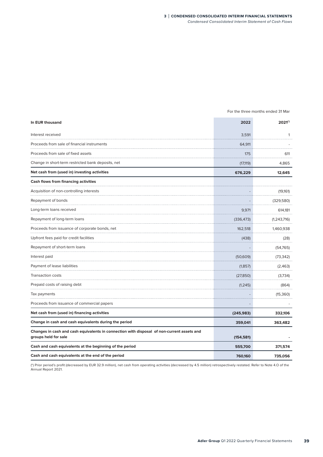| Interest received                                                                                                  | 3,591      | 1             |
|--------------------------------------------------------------------------------------------------------------------|------------|---------------|
| Proceeds from sale of financial instruments                                                                        | 64,911     |               |
| Proceeds from sale of fixed assets                                                                                 | 175        | 611           |
| Change in short-term restricted bank deposits, net                                                                 | (17,119)   | 4,865         |
| Net cash from (used in) investing activities                                                                       | 676,229    | 12.645        |
| Cash flows from financing activities                                                                               |            |               |
| Acquisition of non-controlling interests                                                                           |            | (19,161)      |
| Repayment of bonds                                                                                                 |            | (329,580)     |
| Long-term loans received                                                                                           | 9,971      | 614,181       |
| Repayment of long-term loans                                                                                       | (336,473)  | (1, 243, 716) |
| Proceeds from issuance of corporate bonds, net                                                                     | 162,518    | 1,460,938     |
| Upfront fees paid for credit facilities                                                                            | (438)      | (28)          |
| Repayment of short-term loans                                                                                      |            | (54,765)      |
| Interest paid                                                                                                      | (50,609)   | (73, 342)     |
| Payment of lease liabilities                                                                                       | (1, 857)   | (2,463)       |
| <b>Transaction costs</b>                                                                                           | (27, 850)  | (3,734)       |
| Prepaid costs of raising debt                                                                                      | (1, 245)   | (864)         |
| Tax payments                                                                                                       |            | (15, 360)     |
| Proceeds from issuance of commercial papers                                                                        |            |               |
| Net cash from (used in) financing activities                                                                       | (245, 983) | 332,106       |
| Change in cash and cash equivalents during the period                                                              | 359,041    | 363,482       |
| Changes in cash and cash equivalents in connection with disposal of non-current assets and<br>groups held for sale | (154, 581) |               |
| Cash and cash equivalents at the beginning of the period                                                           | 555,700    | 371,574       |

**In EUR thousand 2022 2021(\*)**

For the three months ended 31 Mar

(\*) Prior period's profit (decreased by EUR 32.9 million), net cash from operating activities (decreased by 4.5 million) retrospectively restated. Refer to Note 4.O of the Annual Report 2021.

**Cash and cash equivalents at the end of the period 1996 <b>735,056 735,056 735,056** 

#### **3 CONDENSED CONSOLIDATED INTERIM FINANCIAL STATEMENTS** *Condensed Consolidated Interim Statement of Cash Flows*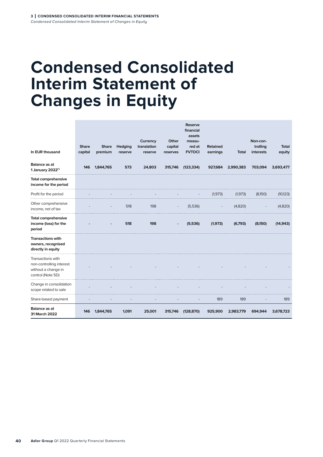### <span id="page-39-0"></span>**Condensed Consolidated Interim Statement of Changes in Equity**

| In EUR thousand                                                                           | <b>Share</b><br>capital | <b>Share</b><br>premium | Hedging<br>reserve | Currency<br>translation<br>reserve | Other<br>capital<br>reserves | <b>Reserve</b><br>financial<br>assets<br>measu-<br>red at<br><b>FVTOCI</b> | <b>Retained</b><br>earnings | <b>Total</b> | Non-con-<br>trolling<br><b>interests</b> | <b>Total</b><br>equity |
|-------------------------------------------------------------------------------------------|-------------------------|-------------------------|--------------------|------------------------------------|------------------------------|----------------------------------------------------------------------------|-----------------------------|--------------|------------------------------------------|------------------------|
| <b>Balance as at</b><br>1 January 2022(1)                                                 | 146                     | 1,844,765               | 573                | 24,803                             | 315,746                      | (123, 334)                                                                 | 927,684                     | 2,990,383    | 703,094                                  | 3,693,477              |
| <b>Total comprehensive</b><br>income for the period                                       |                         |                         |                    |                                    |                              |                                                                            |                             |              |                                          |                        |
| Profit for the period                                                                     |                         |                         |                    |                                    |                              |                                                                            | (1,973)                     | (1, 973)     | (8,150)                                  | (10, 123)              |
| Other comprehensive<br>income, net of tax                                                 |                         |                         | 518                | 198                                |                              | (5,536)                                                                    |                             | (4,820)      |                                          | (4,820)                |
| <b>Total comprehensive</b><br>income (loss) for the<br>period                             |                         |                         | 518                | 198                                |                              | (5,536)                                                                    | (1, 973)                    | (6,793)      | (8,150)                                  | (14, 943)              |
| <b>Transactions with</b><br>owners, recognised<br>directly in equity                      |                         |                         |                    |                                    |                              |                                                                            |                             |              |                                          |                        |
| Transactions with<br>non-controlling interest<br>without a change in<br>control (Note 5D) |                         |                         |                    |                                    |                              |                                                                            |                             |              |                                          |                        |
| Change in consolidation<br>scope related to sale                                          |                         |                         |                    |                                    |                              |                                                                            |                             |              |                                          |                        |
| Share-based payment                                                                       |                         |                         |                    |                                    |                              |                                                                            | 189                         | 189          |                                          | 189                    |
| <b>Balance as at</b><br>31 March 2022                                                     | 146                     | 1,844,765               | 1,091              | 25,001                             | 315,746                      | (128, 870)                                                                 | 925,900                     | 2,983,779    | 694,944                                  | 3,678,723              |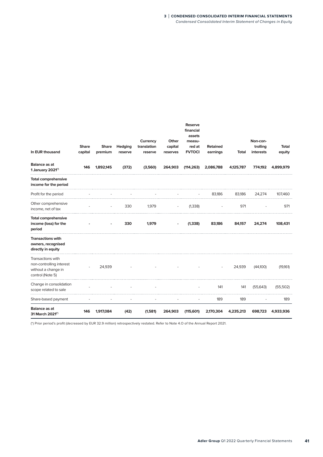#### **3 CONDENSED CONSOLIDATED INTERIM FINANCIAL STATEMENTS**

| <b>CONDENSED CONSOLIDATED INTERIM FINANCIAL STATEMENTS</b>    |
|---------------------------------------------------------------|
| Condensed Consolidated Interim Statement of Changes in Equity |

| <b>Balance as at</b><br>31 March 2021 <sup>(*)</sup>                                     | 146                     | 1,917,084               | (42)               | (1,581)                            | 264,903                      | (115,601)                                                           | 2,170,304            | 4,235,213    | 698,723                           | 4,933,936              |
|------------------------------------------------------------------------------------------|-------------------------|-------------------------|--------------------|------------------------------------|------------------------------|---------------------------------------------------------------------|----------------------|--------------|-----------------------------------|------------------------|
| Share-based payment                                                                      |                         |                         |                    |                                    |                              |                                                                     | 189                  | 189          |                                   | 189                    |
| Change in consolidation<br>scope related to sale                                         |                         |                         |                    |                                    |                              |                                                                     | 141                  | 141          | (55, 643)                         | (55,502)               |
| Transactions with<br>non-controlling interest<br>without a change in<br>control (Note 5) |                         | 24,939                  |                    |                                    |                              |                                                                     |                      | 24,939       | (44,100)                          | (19,161)               |
| <b>Transactions with</b><br>owners, recognised<br>directly in equity                     |                         |                         |                    |                                    |                              |                                                                     |                      |              |                                   |                        |
| <b>Total comprehensive</b><br>income (loss) for the<br>period                            |                         |                         | 330                | 1,979                              |                              | (1, 338)                                                            | 83,186               | 84,157       | 24,274                            | 108,431                |
| Other comprehensive<br>income, net of tax                                                |                         |                         | 330                | 1,979                              |                              | (1, 338)                                                            |                      | 971          |                                   | 971                    |
| Profit for the period                                                                    |                         |                         |                    |                                    |                              |                                                                     | 83,186               | 83,186       | 24,274                            | 107,460                |
| <b>Total comprehensive</b><br>income for the period                                      |                         |                         |                    |                                    |                              |                                                                     |                      |              |                                   |                        |
| Balance as at<br>1 January 2021(1)                                                       | 146                     | 1,892,145               | (372)              | (3,560)                            | 264,903                      | (114, 263)                                                          | 2,086,788            | 4,125,787    | 774,192                           | 4,899,979              |
| In EUR thousand                                                                          | <b>Share</b><br>capital | <b>Share</b><br>premium | Hedging<br>reserve | Currency<br>translation<br>reserve | Other<br>capital<br>reserves | Reserve<br>financial<br>assets<br>measu-<br>red at<br><b>FVTOCI</b> | Retained<br>earnings | <b>Total</b> | Non-con-<br>trolling<br>interests | <b>Total</b><br>equity |

(\*) Prior period's profit (decreased by EUR 32.9 million) retrospectively restated. Refer to Note 4.O of the Annual Report 2021.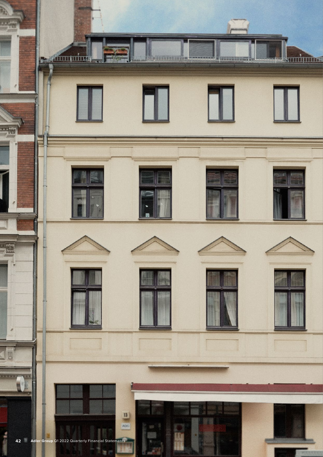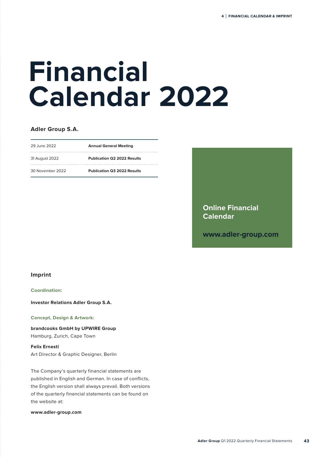### <span id="page-42-0"></span>**Financial Calendar 2022**

#### **Adler Group S.A.**

| 29 June 2022     | <b>Annual General Meeting</b>      |
|------------------|------------------------------------|
| 31 August 2022   | <b>Publication Q2 2022 Results</b> |
| 30 November 2022 | <b>Publication Q3 2022 Results</b> |

**Online Financial Calendar**

**[www.adler-group.com](https://ir.adler-group.com/websites/adler-group/English/7900/financial-calendar.html)**

#### **Imprint**

**Coordination:**

**Investor Relations Adler Group S.A.**

**Concept, Design & Artwork:**

**brandcooks GmbH by UPWIRE Group** Hamburg, Zurich, Cape Town

**Felix Ernesti** Art Director & Graphic Designer, Berlin

The Company's quarterly financial statements are published in English and German. In case of conflicts, the English version shall always prevail. Both versions of the quarterly financial statements can be found on the website at:

**[www.adler-group.com](https://ir.adler-group.com/websites/adler-group/English/2000/publications.html#reports)**